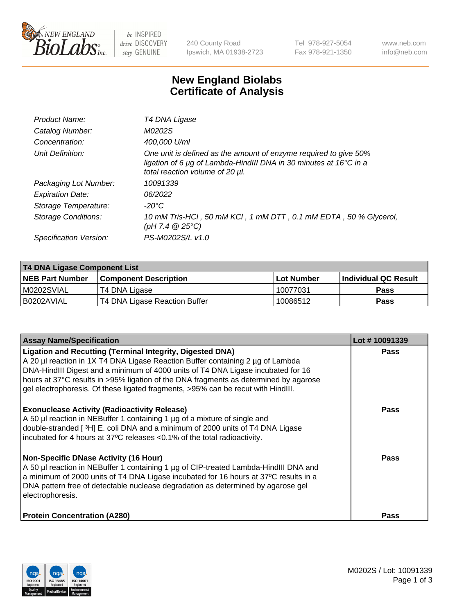

 $be$  INSPIRED drive DISCOVERY stay GENUINE

240 County Road Ipswich, MA 01938-2723 Tel 978-927-5054 Fax 978-921-1350 www.neb.com info@neb.com

## **New England Biolabs Certificate of Analysis**

| Product Name:              | T4 DNA Ligase                                                                                                                                                            |
|----------------------------|--------------------------------------------------------------------------------------------------------------------------------------------------------------------------|
| Catalog Number:            | M0202S                                                                                                                                                                   |
| Concentration:             | 400,000 U/ml                                                                                                                                                             |
| Unit Definition:           | One unit is defined as the amount of enzyme required to give 50%<br>ligation of 6 µg of Lambda-HindIII DNA in 30 minutes at 16°C in a<br>total reaction volume of 20 µl. |
| Packaging Lot Number:      | 10091339                                                                                                                                                                 |
| <b>Expiration Date:</b>    | 06/2022                                                                                                                                                                  |
| Storage Temperature:       | $-20^{\circ}$ C                                                                                                                                                          |
| <b>Storage Conditions:</b> | 10 mM Tris-HCl, 50 mM KCl, 1 mM DTT, 0.1 mM EDTA, 50 % Glycerol,<br>(pH 7.4 $@25°C$ )                                                                                    |
| Specification Version:     | PS-M0202S/L v1.0                                                                                                                                                         |

| T4 DNA Ligase Component List |                               |            |                             |  |
|------------------------------|-------------------------------|------------|-----------------------------|--|
| <b>NEB Part Number</b>       | <b>Component Description</b>  | Lot Number | <b>Individual QC Result</b> |  |
| M0202SVIAL                   | T4 DNA Ligase                 | 10077031   | Pass                        |  |
| I B0202AVIAL                 | T4 DNA Ligase Reaction Buffer | 10086512   | <b>Pass</b>                 |  |

| <b>Assay Name/Specification</b>                                                                                                                                                                                                                                                                                                                                                                                    | Lot #10091339 |
|--------------------------------------------------------------------------------------------------------------------------------------------------------------------------------------------------------------------------------------------------------------------------------------------------------------------------------------------------------------------------------------------------------------------|---------------|
| <b>Ligation and Recutting (Terminal Integrity, Digested DNA)</b><br>A 20 µl reaction in 1X T4 DNA Ligase Reaction Buffer containing 2 µg of Lambda<br>DNA-HindIII Digest and a minimum of 4000 units of T4 DNA Ligase incubated for 16<br>hours at 37°C results in >95% ligation of the DNA fragments as determined by agarose<br>gel electrophoresis. Of these ligated fragments, >95% can be recut with HindIII. | <b>Pass</b>   |
| <b>Exonuclease Activity (Radioactivity Release)</b><br>A 50 µl reaction in NEBuffer 1 containing 1 µg of a mixture of single and<br>double-stranded [3H] E. coli DNA and a minimum of 2000 units of T4 DNA Ligase<br>incubated for 4 hours at 37°C releases <0.1% of the total radioactivity.                                                                                                                      | Pass          |
| <b>Non-Specific DNase Activity (16 Hour)</b><br>A 50 µl reaction in NEBuffer 1 containing 1 µg of CIP-treated Lambda-HindIII DNA and<br>a minimum of 2000 units of T4 DNA Ligase incubated for 16 hours at 37°C results in a<br>DNA pattern free of detectable nuclease degradation as determined by agarose gel<br>electrophoresis.                                                                               | <b>Pass</b>   |
| <b>Protein Concentration (A280)</b>                                                                                                                                                                                                                                                                                                                                                                                | Pass          |

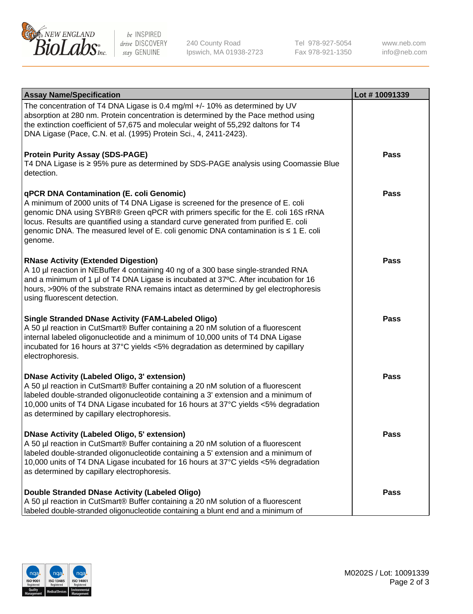

be INSPIRED drive DISCOVERY stay GENUINE

240 County Road Ipswich, MA 01938-2723 Tel 978-927-5054 Fax 978-921-1350

www.neb.com info@neb.com

| <b>Assay Name/Specification</b>                                                                                                                                                                                                                                                                                                                                                                             | Lot #10091339 |
|-------------------------------------------------------------------------------------------------------------------------------------------------------------------------------------------------------------------------------------------------------------------------------------------------------------------------------------------------------------------------------------------------------------|---------------|
| The concentration of T4 DNA Ligase is 0.4 mg/ml +/- 10% as determined by UV<br>absorption at 280 nm. Protein concentration is determined by the Pace method using<br>the extinction coefficient of 57,675 and molecular weight of 55,292 daltons for T4<br>DNA Ligase (Pace, C.N. et al. (1995) Protein Sci., 4, 2411-2423).                                                                                |               |
| <b>Protein Purity Assay (SDS-PAGE)</b><br>T4 DNA Ligase is ≥ 95% pure as determined by SDS-PAGE analysis using Coomassie Blue<br>detection.                                                                                                                                                                                                                                                                 | Pass          |
| qPCR DNA Contamination (E. coli Genomic)<br>A minimum of 2000 units of T4 DNA Ligase is screened for the presence of E. coli<br>genomic DNA using SYBR® Green qPCR with primers specific for the E. coli 16S rRNA<br>locus. Results are quantified using a standard curve generated from purified E. coli<br>genomic DNA. The measured level of E. coli genomic DNA contamination is ≤ 1 E. coli<br>genome. | Pass          |
| <b>RNase Activity (Extended Digestion)</b><br>A 10 µl reaction in NEBuffer 4 containing 40 ng of a 300 base single-stranded RNA<br>and a minimum of 1 µl of T4 DNA Ligase is incubated at 37°C. After incubation for 16<br>hours, >90% of the substrate RNA remains intact as determined by gel electrophoresis<br>using fluorescent detection.                                                             | Pass          |
| <b>Single Stranded DNase Activity (FAM-Labeled Oligo)</b><br>A 50 µl reaction in CutSmart® Buffer containing a 20 nM solution of a fluorescent<br>internal labeled oligonucleotide and a minimum of 10,000 units of T4 DNA Ligase<br>incubated for 16 hours at 37°C yields <5% degradation as determined by capillary<br>electrophoresis.                                                                   | <b>Pass</b>   |
| <b>DNase Activity (Labeled Oligo, 3' extension)</b><br>A 50 µl reaction in CutSmart® Buffer containing a 20 nM solution of a fluorescent<br>labeled double-stranded oligonucleotide containing a 3' extension and a minimum of<br>10,000 units of T4 DNA Ligase incubated for 16 hours at 37°C yields <5% degradation<br>as determined by capillary electrophoresis.                                        | Pass          |
| <b>DNase Activity (Labeled Oligo, 5' extension)</b><br>A 50 µl reaction in CutSmart® Buffer containing a 20 nM solution of a fluorescent<br>labeled double-stranded oligonucleotide containing a 5' extension and a minimum of<br>10,000 units of T4 DNA Ligase incubated for 16 hours at 37°C yields <5% degradation<br>as determined by capillary electrophoresis.                                        | Pass          |
| Double Stranded DNase Activity (Labeled Oligo)<br>A 50 µl reaction in CutSmart® Buffer containing a 20 nM solution of a fluorescent<br>labeled double-stranded oligonucleotide containing a blunt end and a minimum of                                                                                                                                                                                      | Pass          |